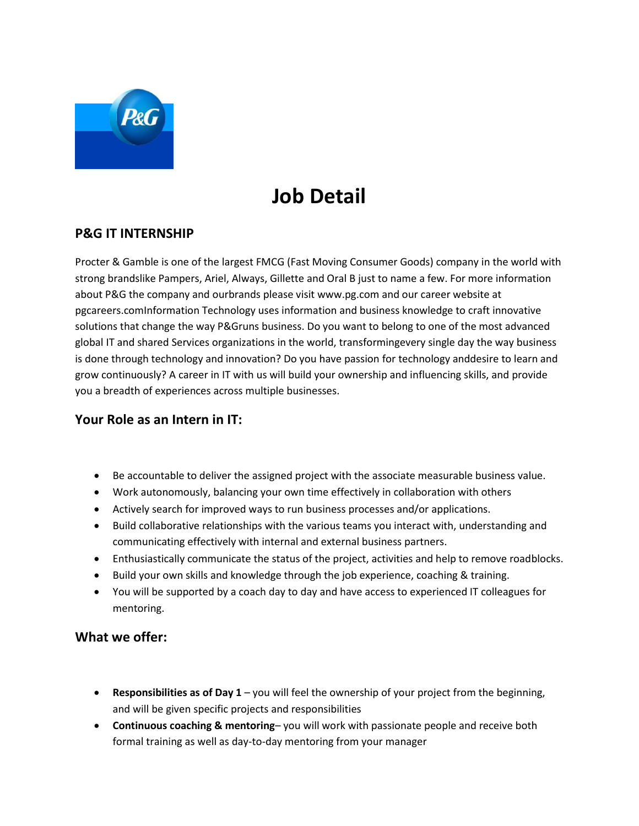

# **Job Detail**

# **P&G IT INTERNSHIP**

Procter & Gamble is one of the largest FMCG (Fast Moving Consumer Goods) company in the world with strong brandslike Pampers, Ariel, Always, Gillette and Oral B just to name a few. For more information about P&G the company and ourbrands please visit www.pg.com and our career website at pgcareers.comInformation Technology uses information and business knowledge to craft innovative solutions that change the way P&Gruns business. Do you want to belong to one of the most advanced global IT and shared Services organizations in the world, transformingevery single day the way business is done through technology and innovation? Do you have passion for technology anddesire to learn and grow continuously? A career in IT with us will build your ownership and influencing skills, and provide you a breadth of experiences across multiple businesses.

## **Your Role as an Intern in IT:**

- Be accountable to deliver the assigned project with the associate measurable business value.
- Work autonomously, balancing your own time effectively in collaboration with others
- Actively search for improved ways to run business processes and/or applications.
- Build collaborative relationships with the various teams you interact with, understanding and communicating effectively with internal and external business partners.
- Enthusiastically communicate the status of the project, activities and help to remove roadblocks.
- Build your own skills and knowledge through the job experience, coaching & training.
- You will be supported by a coach day to day and have access to experienced IT colleagues for mentoring.

## **What we offer:**

- **Responsibilities as of Day 1** you will feel the ownership of your project from the beginning, and will be given specific projects and responsibilities
- **Continuous coaching & mentoring** you will work with passionate people and receive both formal training as well as day-to-day mentoring from your manager